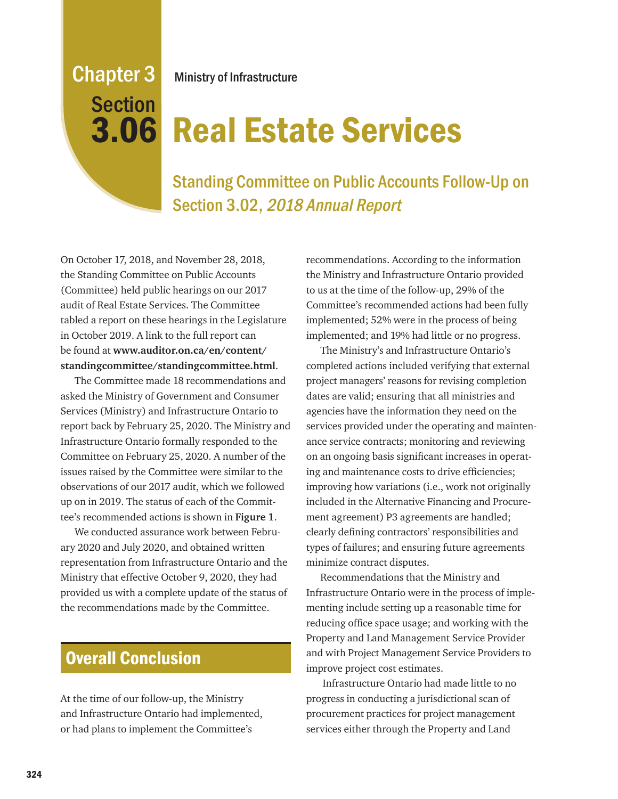# Chapter 3 **Section**

Ministry of Infrastructure

## 3.06 Real Estate Services

Standing Committee on Public Accounts Follow-Up on Section 3.02, 2018 Annual Report

On October 17, 2018, and November 28, 2018, the Standing Committee on Public Accounts (Committee) held public hearings on our 2017 audit of Real Estate Services. The Committee tabled a report on these hearings in the Legislature in October 2019. A link to the full report can be found at **www.auditor.on.ca/en/content/ standingcommittee/standingcommittee.html**.

The Committee made 18 recommendations and asked the Ministry of Government and Consumer Services (Ministry) and Infrastructure Ontario to report back by February 25, 2020. The Ministry and Infrastructure Ontario formally responded to the Committee on February 25, 2020. A number of the issues raised by the Committee were similar to the observations of our 2017 audit, which we followed up on in 2019. The status of each of the Committee's recommended actions is shown in **Figure 1**.

We conducted assurance work between February 2020 and July 2020, and obtained written representation from Infrastructure Ontario and the Ministry that effective October 9, 2020, they had provided us with a complete update of the status of the recommendations made by the Committee.

## Overall Conclusion

At the time of our follow-up, the Ministry and Infrastructure Ontario had implemented, or had plans to implement the Committee's

recommendations. According to the information the Ministry and Infrastructure Ontario provided to us at the time of the follow-up, 29% of the Committee's recommended actions had been fully implemented; 52% were in the process of being implemented; and 19% had little or no progress.

The Ministry's and Infrastructure Ontario's completed actions included verifying that external project managers' reasons for revising completion dates are valid; ensuring that all ministries and agencies have the information they need on the services provided under the operating and maintenance service contracts; monitoring and reviewing on an ongoing basis significant increases in operating and maintenance costs to drive efficiencies; improving how variations (i.e., work not originally included in the Alternative Financing and Procurement agreement) P3 agreements are handled; clearly defining contractors' responsibilities and types of failures; and ensuring future agreements minimize contract disputes.

Recommendations that the Ministry and Infrastructure Ontario were in the process of implementing include setting up a reasonable time for reducing office space usage; and working with the Property and Land Management Service Provider and with Project Management Service Providers to improve project cost estimates.

 Infrastructure Ontario had made little to no progress in conducting a jurisdictional scan of procurement practices for project management services either through the Property and Land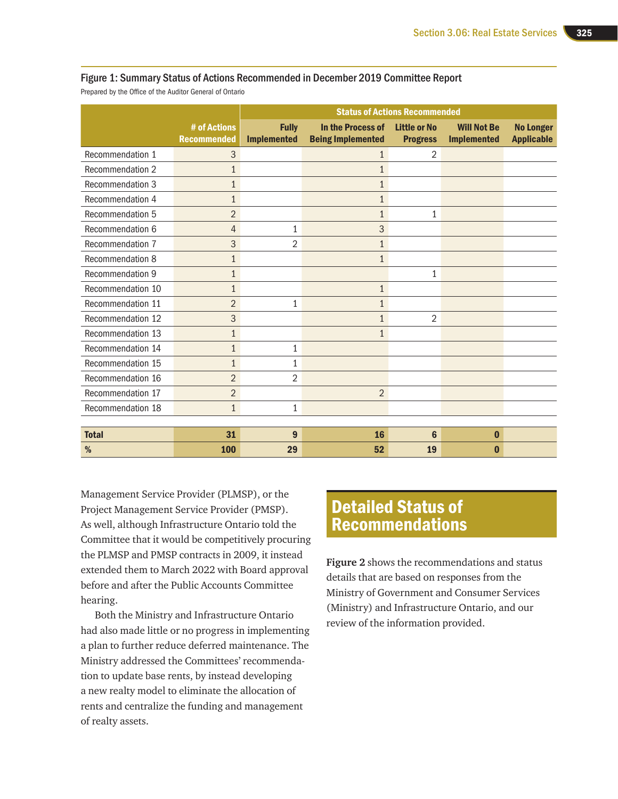#### Figure 1: Summary Status of Actions Recommended in December 2019 Committee Report

Prepared by the Office of the Auditor General of Ontario

|                         |                                    |                                    |                                               | <b>Status of Actions Recommended</b>   |                                          |                                       |
|-------------------------|------------------------------------|------------------------------------|-----------------------------------------------|----------------------------------------|------------------------------------------|---------------------------------------|
|                         | # of Actions<br><b>Recommended</b> | <b>Fully</b><br><b>Implemented</b> | In the Process of<br><b>Being Implemented</b> | <b>Little or No</b><br><b>Progress</b> | <b>Will Not Be</b><br><b>Implemented</b> | <b>No Longer</b><br><b>Applicable</b> |
| Recommendation 1        | 3                                  |                                    | 1                                             | 2                                      |                                          |                                       |
| Recommendation 2        | $\mathbf{1}$                       |                                    | $\mathbf{1}$                                  |                                        |                                          |                                       |
| Recommendation 3        | $\mathbf{1}$                       |                                    | 1                                             |                                        |                                          |                                       |
| Recommendation 4        | $\mathbf{1}$                       |                                    | 1                                             |                                        |                                          |                                       |
| Recommendation 5        | $\overline{2}$                     |                                    | 1                                             | 1                                      |                                          |                                       |
| Recommendation 6        | $\overline{4}$                     | 1                                  | 3                                             |                                        |                                          |                                       |
| Recommendation 7        | 3                                  | 2                                  | $\mathbf{1}$                                  |                                        |                                          |                                       |
| <b>Recommendation 8</b> | $\mathbf{1}$                       |                                    | $\mathbf{1}$                                  |                                        |                                          |                                       |
| <b>Recommendation 9</b> | $\mathbf{1}$                       |                                    |                                               | $\mathbf{1}$                           |                                          |                                       |
| Recommendation 10       | $\mathbf{1}$                       |                                    | $\mathbf{1}$                                  |                                        |                                          |                                       |
| Recommendation 11       | $\overline{2}$                     | 1                                  | $\mathbf{1}$                                  |                                        |                                          |                                       |
| Recommendation 12       | 3                                  |                                    |                                               | $\overline{2}$                         |                                          |                                       |
| Recommendation 13       | $\mathbf{1}$                       |                                    | 1                                             |                                        |                                          |                                       |
| Recommendation 14       | $\mathbf{1}$                       | 1                                  |                                               |                                        |                                          |                                       |
| Recommendation 15       | $\mathbf{1}$                       | $\mathbf{1}$                       |                                               |                                        |                                          |                                       |
| Recommendation 16       | $\overline{2}$                     | 2                                  |                                               |                                        |                                          |                                       |
| Recommendation 17       | $\overline{2}$                     |                                    | $\overline{2}$                                |                                        |                                          |                                       |
| Recommendation 18       | $\mathbf{1}$                       | $\mathbf{1}$                       |                                               |                                        |                                          |                                       |
|                         |                                    |                                    |                                               |                                        |                                          |                                       |
| <b>Total</b>            | 31                                 | 9                                  | 16                                            | $6\phantom{1}6$                        | $\bf{0}$                                 |                                       |
| %                       | <b>100</b>                         | 29                                 | 52                                            | 19                                     | $\bf{0}$                                 |                                       |

Management Service Provider (PLMSP), or the Project Management Service Provider (PMSP). As well, although Infrastructure Ontario told the Committee that it would be competitively procuring the PLMSP and PMSP contracts in 2009, it instead extended them to March 2022 with Board approval before and after the Public Accounts Committee hearing.

Both the Ministry and Infrastructure Ontario had also made little or no progress in implementing a plan to further reduce deferred maintenance. The Ministry addressed the Committees' recommendation to update base rents, by instead developing a new realty model to eliminate the allocation of rents and centralize the funding and management of realty assets.

### Detailed Status of Recommendations

**Figure 2** shows the recommendations and status details that are based on responses from the Ministry of Government and Consumer Services (Ministry) and Infrastructure Ontario, and our review of the information provided.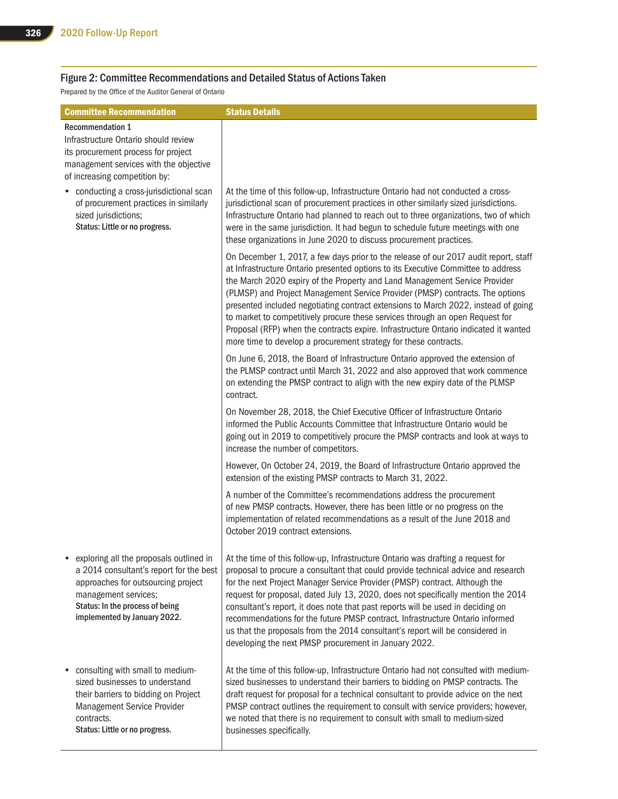#### Figure 2: Committee Recommendations and Detailed Status of Actions Taken

Prepared by the Office of the Auditor General of Ontario

| <b>Committee Recommendation</b>                                                                                                                                                                                     | <b>Status Details</b>                                                                                                                                                                                                                                                                                                                                                                                                                                                                                                                                                                                                                                                       |
|---------------------------------------------------------------------------------------------------------------------------------------------------------------------------------------------------------------------|-----------------------------------------------------------------------------------------------------------------------------------------------------------------------------------------------------------------------------------------------------------------------------------------------------------------------------------------------------------------------------------------------------------------------------------------------------------------------------------------------------------------------------------------------------------------------------------------------------------------------------------------------------------------------------|
| <b>Recommendation 1</b>                                                                                                                                                                                             |                                                                                                                                                                                                                                                                                                                                                                                                                                                                                                                                                                                                                                                                             |
| Infrastructure Ontario should review                                                                                                                                                                                |                                                                                                                                                                                                                                                                                                                                                                                                                                                                                                                                                                                                                                                                             |
| its procurement process for project                                                                                                                                                                                 |                                                                                                                                                                                                                                                                                                                                                                                                                                                                                                                                                                                                                                                                             |
| management services with the objective<br>of increasing competition by:                                                                                                                                             |                                                                                                                                                                                                                                                                                                                                                                                                                                                                                                                                                                                                                                                                             |
| • conducting a cross-jurisdictional scan<br>of procurement practices in similarly<br>sized jurisdictions;<br>Status: Little or no progress.                                                                         | At the time of this follow-up, Infrastructure Ontario had not conducted a cross-<br>jurisdictional scan of procurement practices in other similarly sized jurisdictions.<br>Infrastructure Ontario had planned to reach out to three organizations, two of which<br>were in the same jurisdiction. It had begun to schedule future meetings with one<br>these organizations in June 2020 to discuss procurement practices.                                                                                                                                                                                                                                                  |
|                                                                                                                                                                                                                     | On December 1, 2017, a few days prior to the release of our 2017 audit report, staff<br>at Infrastructure Ontario presented options to its Executive Committee to address<br>the March 2020 expiry of the Property and Land Management Service Provider<br>(PLMSP) and Project Management Service Provider (PMSP) contracts. The options<br>presented included negotiating contract extensions to March 2022, instead of going<br>to market to competitively procure these services through an open Request for<br>Proposal (RFP) when the contracts expire. Infrastructure Ontario indicated it wanted<br>more time to develop a procurement strategy for these contracts. |
|                                                                                                                                                                                                                     | On June 6, 2018, the Board of Infrastructure Ontario approved the extension of<br>the PLMSP contract until March 31, 2022 and also approved that work commence<br>on extending the PMSP contract to align with the new expiry date of the PLMSP<br>contract.                                                                                                                                                                                                                                                                                                                                                                                                                |
|                                                                                                                                                                                                                     | On November 28, 2018, the Chief Executive Officer of Infrastructure Ontario<br>informed the Public Accounts Committee that Infrastructure Ontario would be<br>going out in 2019 to competitively procure the PMSP contracts and look at ways to<br>increase the number of competitors.                                                                                                                                                                                                                                                                                                                                                                                      |
|                                                                                                                                                                                                                     | However, On October 24, 2019, the Board of Infrastructure Ontario approved the<br>extension of the existing PMSP contracts to March 31, 2022.                                                                                                                                                                                                                                                                                                                                                                                                                                                                                                                               |
|                                                                                                                                                                                                                     | A number of the Committee's recommendations address the procurement<br>of new PMSP contracts. However, there has been little or no progress on the<br>implementation of related recommendations as a result of the June 2018 and<br>October 2019 contract extensions.                                                                                                                                                                                                                                                                                                                                                                                                       |
| exploring all the proposals outlined in<br>a 2014 consultant's report for the best<br>approaches for outsourcing project<br>management services;<br>Status: In the process of being<br>implemented by January 2022. | At the time of this follow-up, Infrastructure Ontario was drafting a request for<br>proposal to procure a consultant that could provide technical advice and research<br>for the next Project Manager Service Provider (PMSP) contract. Although the<br>request for proposal, dated July 13, 2020, does not specifically mention the 2014<br>consultant's report, it does note that past reports will be used in deciding on<br>recommendations for the future PMSP contract. Infrastructure Ontario informed<br>us that the proposals from the 2014 consultant's report will be considered in<br>developing the next PMSP procurement in January 2022.                     |
| • consulting with small to medium-<br>sized businesses to understand<br>their barriers to bidding on Project<br>Management Service Provider<br>contracts.<br>Status: Little or no progress.                         | At the time of this follow-up, Infrastructure Ontario had not consulted with medium-<br>sized businesses to understand their barriers to bidding on PMSP contracts. The<br>draft request for proposal for a technical consultant to provide advice on the next<br>PMSP contract outlines the requirement to consult with service providers; however,<br>we noted that there is no requirement to consult with small to medium-sized<br>businesses specifically.                                                                                                                                                                                                             |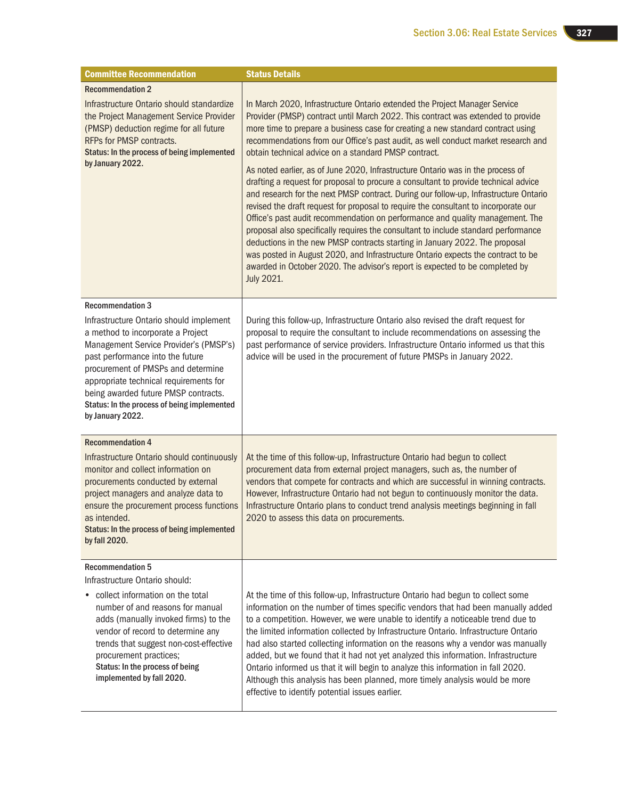| <b>Committee Recommendation</b>                                                                                                                                                                                                                                                                                                                       | <b>Status Details</b>                                                                                                                                                                                                                                                                                                                                                                                                                                                                                                                                                                                                                                                                                                                        |
|-------------------------------------------------------------------------------------------------------------------------------------------------------------------------------------------------------------------------------------------------------------------------------------------------------------------------------------------------------|----------------------------------------------------------------------------------------------------------------------------------------------------------------------------------------------------------------------------------------------------------------------------------------------------------------------------------------------------------------------------------------------------------------------------------------------------------------------------------------------------------------------------------------------------------------------------------------------------------------------------------------------------------------------------------------------------------------------------------------------|
| <b>Recommendation 2</b>                                                                                                                                                                                                                                                                                                                               |                                                                                                                                                                                                                                                                                                                                                                                                                                                                                                                                                                                                                                                                                                                                              |
| Infrastructure Ontario should standardize<br>the Project Management Service Provider<br>(PMSP) deduction regime for all future<br>RFPs for PMSP contracts.<br>Status: In the process of being implemented<br>by January 2022.                                                                                                                         | In March 2020, Infrastructure Ontario extended the Project Manager Service<br>Provider (PMSP) contract until March 2022. This contract was extended to provide<br>more time to prepare a business case for creating a new standard contract using<br>recommendations from our Office's past audit, as well conduct market research and<br>obtain technical advice on a standard PMSP contract.<br>As noted earlier, as of June 2020, Infrastructure Ontario was in the process of                                                                                                                                                                                                                                                            |
|                                                                                                                                                                                                                                                                                                                                                       | drafting a request for proposal to procure a consultant to provide technical advice<br>and research for the next PMSP contract. During our follow-up, Infrastructure Ontario<br>revised the draft request for proposal to require the consultant to incorporate our<br>Office's past audit recommendation on performance and quality management. The<br>proposal also specifically requires the consultant to include standard performance<br>deductions in the new PMSP contracts starting in January 2022. The proposal<br>was posted in August 2020, and Infrastructure Ontario expects the contract to be<br>awarded in October 2020. The advisor's report is expected to be completed by<br><b>July 2021.</b>                           |
| <b>Recommendation 3</b>                                                                                                                                                                                                                                                                                                                               |                                                                                                                                                                                                                                                                                                                                                                                                                                                                                                                                                                                                                                                                                                                                              |
| Infrastructure Ontario should implement<br>a method to incorporate a Project<br>Management Service Provider's (PMSP's)<br>past performance into the future<br>procurement of PMSPs and determine<br>appropriate technical requirements for<br>being awarded future PMSP contracts.<br>Status: In the process of being implemented<br>by January 2022. | During this follow-up, Infrastructure Ontario also revised the draft request for<br>proposal to require the consultant to include recommendations on assessing the<br>past performance of service providers. Infrastructure Ontario informed us that this<br>advice will be used in the procurement of future PMSPs in January 2022.                                                                                                                                                                                                                                                                                                                                                                                                         |
| <b>Recommendation 4</b>                                                                                                                                                                                                                                                                                                                               |                                                                                                                                                                                                                                                                                                                                                                                                                                                                                                                                                                                                                                                                                                                                              |
| Infrastructure Ontario should continuously<br>monitor and collect information on<br>procurements conducted by external<br>project managers and analyze data to<br>ensure the procurement process functions<br>as intended.<br>Status: In the process of being implemented<br>by fall 2020.                                                            | At the time of this follow-up, Infrastructure Ontario had begun to collect<br>procurement data from external project managers, such as, the number of<br>vendors that compete for contracts and which are successful in winning contracts.<br>However, Infrastructure Ontario had not begun to continuously monitor the data.<br>Infrastructure Ontario plans to conduct trend analysis meetings beginning in fall<br>2020 to assess this data on procurements.                                                                                                                                                                                                                                                                              |
| <b>Recommendation 5</b>                                                                                                                                                                                                                                                                                                                               |                                                                                                                                                                                                                                                                                                                                                                                                                                                                                                                                                                                                                                                                                                                                              |
| Infrastructure Ontario should:<br>collect information on the total<br>number of and reasons for manual<br>adds (manually invoked firms) to the<br>vendor of record to determine any<br>trends that suggest non-cost-effective<br>procurement practices;<br>Status: In the process of being<br>implemented by fall 2020.                               | At the time of this follow-up, Infrastructure Ontario had begun to collect some<br>information on the number of times specific vendors that had been manually added<br>to a competition. However, we were unable to identify a noticeable trend due to<br>the limited information collected by Infrastructure Ontario. Infrastructure Ontario<br>had also started collecting information on the reasons why a vendor was manually<br>added, but we found that it had not yet analyzed this information. Infrastructure<br>Ontario informed us that it will begin to analyze this information in fall 2020.<br>Although this analysis has been planned, more timely analysis would be more<br>effective to identify potential issues earlier. |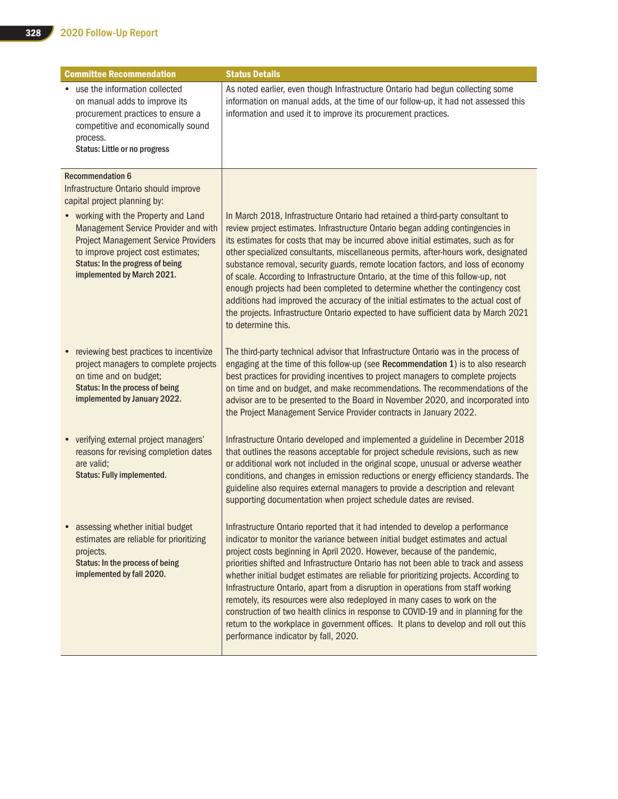| <b>Committee Recommendation</b>                                                                                                                                                                                                     | <b>Status Details</b>                                                                                                                                                                                                                                                                                                                                                                                                                                                                                                                                                                                                                                                                                                                                                                                             |
|-------------------------------------------------------------------------------------------------------------------------------------------------------------------------------------------------------------------------------------|-------------------------------------------------------------------------------------------------------------------------------------------------------------------------------------------------------------------------------------------------------------------------------------------------------------------------------------------------------------------------------------------------------------------------------------------------------------------------------------------------------------------------------------------------------------------------------------------------------------------------------------------------------------------------------------------------------------------------------------------------------------------------------------------------------------------|
| • use the information collected<br>on manual adds to improve its<br>procurement practices to ensure a<br>competitive and economically sound<br>process.<br>Status: Little or no progress                                            | As noted earlier, even though Infrastructure Ontario had begun collecting some<br>information on manual adds, at the time of our follow-up, it had not assessed this<br>information and used it to improve its procurement practices.                                                                                                                                                                                                                                                                                                                                                                                                                                                                                                                                                                             |
| <b>Recommendation 6</b>                                                                                                                                                                                                             |                                                                                                                                                                                                                                                                                                                                                                                                                                                                                                                                                                                                                                                                                                                                                                                                                   |
| Infrastructure Ontario should improve<br>capital project planning by:                                                                                                                                                               |                                                                                                                                                                                                                                                                                                                                                                                                                                                                                                                                                                                                                                                                                                                                                                                                                   |
| • working with the Property and Land<br>Management Service Provider and with<br><b>Project Management Service Providers</b><br>to improve project cost estimates;<br>Status: In the progress of being<br>implemented by March 2021. | In March 2018, Infrastructure Ontario had retained a third-party consultant to<br>review project estimates. Infrastructure Ontario began adding contingencies in<br>its estimates for costs that may be incurred above initial estimates, such as for<br>other specialized consultants, miscellaneous permits, after-hours work, designated<br>substance removal, security guards, remote location factors, and loss of economy<br>of scale. According to Infrastructure Ontario, at the time of this follow-up, not<br>enough projects had been completed to determine whether the contingency cost<br>additions had improved the accuracy of the initial estimates to the actual cost of<br>the projects. Infrastructure Ontario expected to have sufficient data by March 2021<br>to determine this.           |
| reviewing best practices to incentivize<br>project managers to complete projects<br>on time and on budget;<br>Status: In the process of being<br>implemented by January 2022.                                                       | The third-party technical advisor that Infrastructure Ontario was in the process of<br>engaging at the time of this follow-up (see Recommendation 1) is to also research<br>best practices for providing incentives to project managers to complete projects<br>on time and on budget, and make recommendations. The recommendations of the<br>advisor are to be presented to the Board in November 2020, and incorporated into<br>the Project Management Service Provider contracts in January 2022.                                                                                                                                                                                                                                                                                                             |
| • verifying external project managers'<br>reasons for revising completion dates<br>are valid:<br><b>Status: Fully implemented.</b>                                                                                                  | Infrastructure Ontario developed and implemented a guideline in December 2018<br>that outlines the reasons acceptable for project schedule revisions, such as new<br>or additional work not included in the original scope, unusual or adverse weather<br>conditions, and changes in emission reductions or energy efficiency standards. The<br>guideline also requires external managers to provide a description and relevant<br>supporting documentation when project schedule dates are revised.                                                                                                                                                                                                                                                                                                              |
| assessing whether initial budget<br>estimates are reliable for prioritizing<br>projects.<br>Status: In the process of being<br>implemented by fall 2020.                                                                            | Infrastructure Ontario reported that it had intended to develop a performance<br>indicator to monitor the variance between initial budget estimates and actual<br>project costs beginning in April 2020. However, because of the pandemic,<br>priorities shifted and Infrastructure Ontario has not been able to track and assess<br>whether initial budget estimates are reliable for prioritizing projects. According to<br>Infrastructure Ontario, apart from a disruption in operations from staff working<br>remotely, its resources were also redeployed in many cases to work on the<br>construction of two health clinics in response to COVID-19 and in planning for the<br>return to the workplace in government offices. It plans to develop and roll out this<br>performance indicator by fall, 2020. |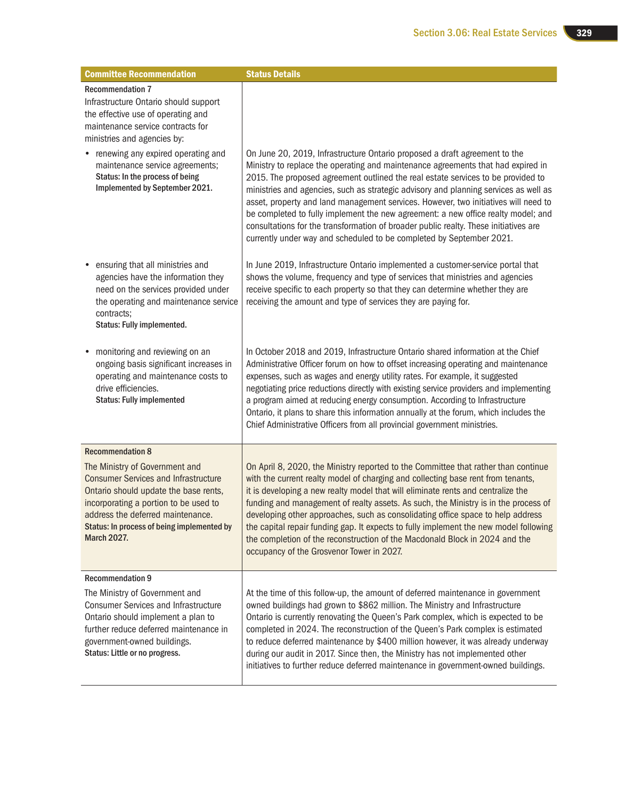| <b>Committee Recommendation</b>                                                                                                                                                                                                                                         | <b>Status Details</b>                                                                                                                                                                                                                                                                                                                                                                                                                                                                                                                                                                                                                                                                  |
|-------------------------------------------------------------------------------------------------------------------------------------------------------------------------------------------------------------------------------------------------------------------------|----------------------------------------------------------------------------------------------------------------------------------------------------------------------------------------------------------------------------------------------------------------------------------------------------------------------------------------------------------------------------------------------------------------------------------------------------------------------------------------------------------------------------------------------------------------------------------------------------------------------------------------------------------------------------------------|
| <b>Recommendation 7</b><br>Infrastructure Ontario should support<br>the effective use of operating and<br>maintenance service contracts for<br>ministries and agencies by:                                                                                              |                                                                                                                                                                                                                                                                                                                                                                                                                                                                                                                                                                                                                                                                                        |
| renewing any expired operating and<br>maintenance service agreements;<br>Status: In the process of being<br>Implemented by September 2021.                                                                                                                              | On June 20, 2019, Infrastructure Ontario proposed a draft agreement to the<br>Ministry to replace the operating and maintenance agreements that had expired in<br>2015. The proposed agreement outlined the real estate services to be provided to<br>ministries and agencies, such as strategic advisory and planning services as well as<br>asset, property and land management services. However, two initiatives will need to<br>be completed to fully implement the new agreement: a new office realty model; and<br>consultations for the transformation of broader public realty. These initiatives are<br>currently under way and scheduled to be completed by September 2021. |
| ensuring that all ministries and<br>agencies have the information they<br>need on the services provided under<br>the operating and maintenance service<br>contracts;<br>Status: Fully implemented.                                                                      | In June 2019, Infrastructure Ontario implemented a customer-service portal that<br>shows the volume, frequency and type of services that ministries and agencies<br>receive specific to each property so that they can determine whether they are<br>receiving the amount and type of services they are paying for.                                                                                                                                                                                                                                                                                                                                                                    |
| monitoring and reviewing on an<br>ongoing basis significant increases in<br>operating and maintenance costs to<br>drive efficiencies.<br><b>Status: Fully implemented</b>                                                                                               | In October 2018 and 2019, Infrastructure Ontario shared information at the Chief<br>Administrative Officer forum on how to offset increasing operating and maintenance<br>expenses, such as wages and energy utility rates. For example, it suggested<br>negotiating price reductions directly with existing service providers and implementing<br>a program aimed at reducing energy consumption. According to Infrastructure<br>Ontario, it plans to share this information annually at the forum, which includes the<br>Chief Administrative Officers from all provincial government ministries.                                                                                    |
| <b>Recommendation 8</b>                                                                                                                                                                                                                                                 |                                                                                                                                                                                                                                                                                                                                                                                                                                                                                                                                                                                                                                                                                        |
| The Ministry of Government and<br><b>Consumer Services and Infrastructure</b><br>Ontario should update the base rents,<br>incorporating a portion to be used to<br>address the deferred maintenance<br>Status: In process of being implemented by<br><b>March 2027.</b> | On April 8, 2020, the Ministry reported to the Committee that rather than continue<br>with the current realty model of charging and collecting base rent from tenants,<br>it is developing a new realty model that will eliminate rents and centralize the<br>funding and management of realty assets. As such, the Ministry is in the process of<br>developing other approaches, such as consolidating office space to help address<br>the capital repair funding gap. It expects to fully implement the new model following<br>the completion of the reconstruction of the Macdonald Block in 2024 and the<br>occupancy of the Grosvenor Tower in 2027.                              |
| <b>Recommendation 9</b>                                                                                                                                                                                                                                                 |                                                                                                                                                                                                                                                                                                                                                                                                                                                                                                                                                                                                                                                                                        |
| The Ministry of Government and<br><b>Consumer Services and Infrastructure</b><br>Ontario should implement a plan to<br>further reduce deferred maintenance in<br>government-owned buildings.<br>Status: Little or no progress.                                          | At the time of this follow-up, the amount of deferred maintenance in government<br>owned buildings had grown to \$862 million. The Ministry and Infrastructure<br>Ontario is currently renovating the Queen's Park complex, which is expected to be<br>completed in 2024. The reconstruction of the Queen's Park complex is estimated<br>to reduce deferred maintenance by \$400 million however, it was already underway<br>during our audit in 2017. Since then, the Ministry has not implemented other<br>initiatives to further reduce deferred maintenance in government-owned buildings.                                                                                         |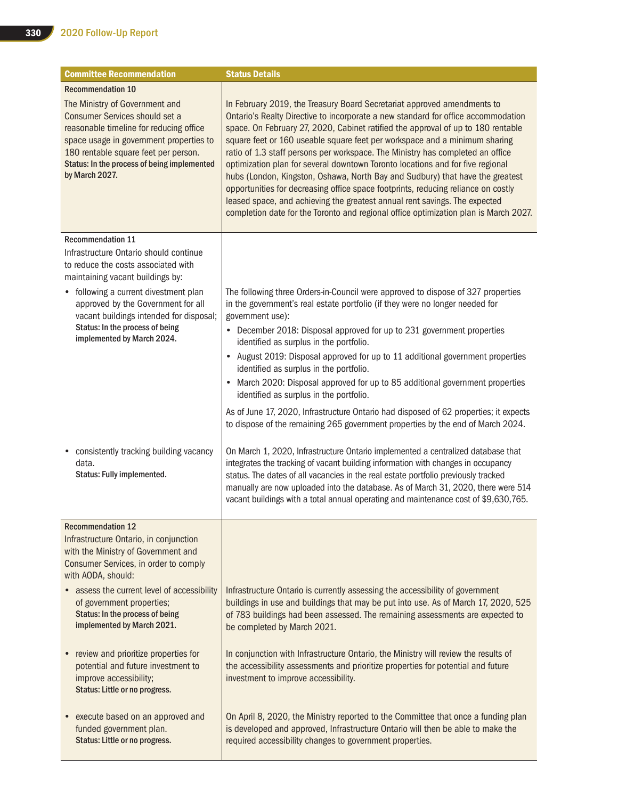| <b>Committee Recommendation</b>                                                                                                                                                                                                                                 | <b>Status Details</b>                                                                                                                                                                                                                                                                                                                                                                                                                                                                                                                                                                                                                                                                                                                                                                                                                          |
|-----------------------------------------------------------------------------------------------------------------------------------------------------------------------------------------------------------------------------------------------------------------|------------------------------------------------------------------------------------------------------------------------------------------------------------------------------------------------------------------------------------------------------------------------------------------------------------------------------------------------------------------------------------------------------------------------------------------------------------------------------------------------------------------------------------------------------------------------------------------------------------------------------------------------------------------------------------------------------------------------------------------------------------------------------------------------------------------------------------------------|
| <b>Recommendation 10</b>                                                                                                                                                                                                                                        |                                                                                                                                                                                                                                                                                                                                                                                                                                                                                                                                                                                                                                                                                                                                                                                                                                                |
| The Ministry of Government and<br>Consumer Services should set a<br>reasonable timeline for reducing office<br>space usage in government properties to<br>180 rentable square feet per person.<br>Status: In the process of being implemented<br>by March 2027. | In February 2019, the Treasury Board Secretariat approved amendments to<br>Ontario's Realty Directive to incorporate a new standard for office accommodation<br>space. On February 27, 2020, Cabinet ratified the approval of up to 180 rentable<br>square feet or 160 useable square feet per workspace and a minimum sharing<br>ratio of 1.3 staff persons per workspace. The Ministry has completed an office<br>optimization plan for several downtown Toronto locations and for five regional<br>hubs (London, Kingston, Oshawa, North Bay and Sudbury) that have the greatest<br>opportunities for decreasing office space footprints, reducing reliance on costly<br>leased space, and achieving the greatest annual rent savings. The expected<br>completion date for the Toronto and regional office optimization plan is March 2027. |
| <b>Recommendation 11</b>                                                                                                                                                                                                                                        |                                                                                                                                                                                                                                                                                                                                                                                                                                                                                                                                                                                                                                                                                                                                                                                                                                                |
| Infrastructure Ontario should continue<br>to reduce the costs associated with<br>maintaining vacant buildings by:                                                                                                                                               |                                                                                                                                                                                                                                                                                                                                                                                                                                                                                                                                                                                                                                                                                                                                                                                                                                                |
| • following a current divestment plan<br>approved by the Government for all<br>vacant buildings intended for disposal;                                                                                                                                          | The following three Orders-in-Council were approved to dispose of 327 properties<br>in the government's real estate portfolio (if they were no longer needed for<br>government use):                                                                                                                                                                                                                                                                                                                                                                                                                                                                                                                                                                                                                                                           |
| Status: In the process of being<br>implemented by March 2024.                                                                                                                                                                                                   | December 2018: Disposal approved for up to 231 government properties<br>٠<br>identified as surplus in the portfolio.                                                                                                                                                                                                                                                                                                                                                                                                                                                                                                                                                                                                                                                                                                                           |
|                                                                                                                                                                                                                                                                 | August 2019: Disposal approved for up to 11 additional government properties<br>identified as surplus in the portfolio.                                                                                                                                                                                                                                                                                                                                                                                                                                                                                                                                                                                                                                                                                                                        |
|                                                                                                                                                                                                                                                                 | March 2020: Disposal approved for up to 85 additional government properties<br>٠<br>identified as surplus in the portfolio.                                                                                                                                                                                                                                                                                                                                                                                                                                                                                                                                                                                                                                                                                                                    |
|                                                                                                                                                                                                                                                                 | As of June 17, 2020, Infrastructure Ontario had disposed of 62 properties; it expects<br>to dispose of the remaining 265 government properties by the end of March 2024.                                                                                                                                                                                                                                                                                                                                                                                                                                                                                                                                                                                                                                                                       |
| • consistently tracking building vacancy<br>data.<br>Status: Fully implemented.                                                                                                                                                                                 | On March 1, 2020, Infrastructure Ontario implemented a centralized database that<br>integrates the tracking of vacant building information with changes in occupancy<br>status. The dates of all vacancies in the real estate portfolio previously tracked<br>manually are now uploaded into the database. As of March 31, 2020, there were 514<br>vacant buildings with a total annual operating and maintenance cost of \$9,630,765.                                                                                                                                                                                                                                                                                                                                                                                                         |
| <b>Recommendation 12</b>                                                                                                                                                                                                                                        |                                                                                                                                                                                                                                                                                                                                                                                                                                                                                                                                                                                                                                                                                                                                                                                                                                                |
| Infrastructure Ontario, in conjunction<br>with the Ministry of Government and<br>Consumer Services, in order to comply<br>with AODA, should:                                                                                                                    |                                                                                                                                                                                                                                                                                                                                                                                                                                                                                                                                                                                                                                                                                                                                                                                                                                                |
| • assess the current level of accessibility<br>of government properties;<br>Status: In the process of being<br>implemented by March 2021.                                                                                                                       | Infrastructure Ontario is currently assessing the accessibility of government<br>buildings in use and buildings that may be put into use. As of March 17, 2020, 525<br>of 783 buildings had been assessed. The remaining assessments are expected to<br>be completed by March 2021.                                                                                                                                                                                                                                                                                                                                                                                                                                                                                                                                                            |
| • review and prioritize properties for<br>potential and future investment to<br>improve accessibility;<br>Status: Little or no progress.                                                                                                                        | In conjunction with Infrastructure Ontario, the Ministry will review the results of<br>the accessibility assessments and prioritize properties for potential and future<br>investment to improve accessibility.                                                                                                                                                                                                                                                                                                                                                                                                                                                                                                                                                                                                                                |
| • execute based on an approved and<br>funded government plan.<br>Status: Little or no progress.                                                                                                                                                                 | On April 8, 2020, the Ministry reported to the Committee that once a funding plan<br>is developed and approved, Infrastructure Ontario will then be able to make the<br>required accessibility changes to government properties.                                                                                                                                                                                                                                                                                                                                                                                                                                                                                                                                                                                                               |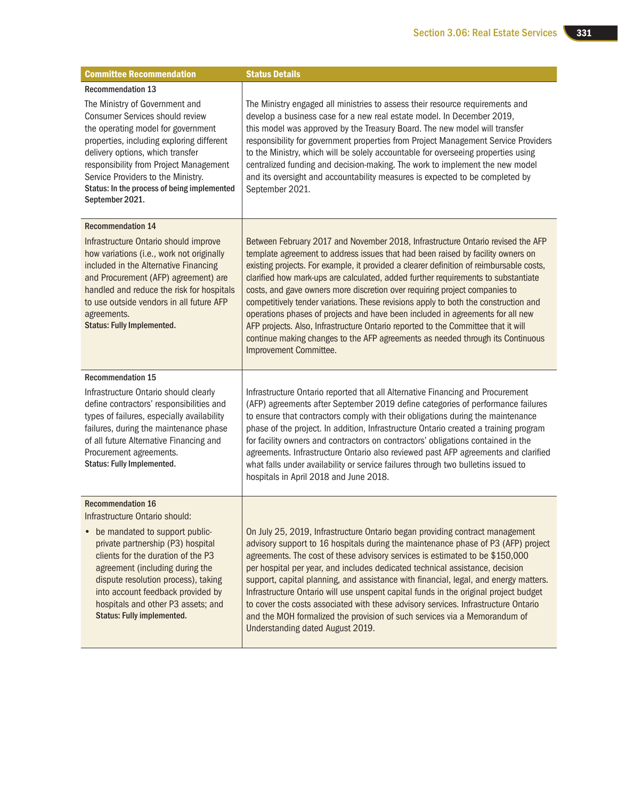| <b>Committee Recommendation</b>                                                                                                                                                                                                                                                                                                                                               | <b>Status Details</b>                                                                                                                                                                                                                                                                                                                                                                                                                                                                                                                                                                                                                                                                                                                                                                                      |
|-------------------------------------------------------------------------------------------------------------------------------------------------------------------------------------------------------------------------------------------------------------------------------------------------------------------------------------------------------------------------------|------------------------------------------------------------------------------------------------------------------------------------------------------------------------------------------------------------------------------------------------------------------------------------------------------------------------------------------------------------------------------------------------------------------------------------------------------------------------------------------------------------------------------------------------------------------------------------------------------------------------------------------------------------------------------------------------------------------------------------------------------------------------------------------------------------|
| <b>Recommendation 13</b><br>The Ministry of Government and<br><b>Consumer Services should review</b><br>the operating model for government<br>properties, including exploring different<br>delivery options, which transfer<br>responsibility from Project Management<br>Service Providers to the Ministry.<br>Status: In the process of being implemented<br>September 2021. | The Ministry engaged all ministries to assess their resource requirements and<br>develop a business case for a new real estate model. In December 2019,<br>this model was approved by the Treasury Board. The new model will transfer<br>responsibility for government properties from Project Management Service Providers<br>to the Ministry, which will be solely accountable for overseeing properties using<br>centralized funding and decision-making. The work to implement the new model<br>and its oversight and accountability measures is expected to be completed by<br>September 2021.                                                                                                                                                                                                        |
| <b>Recommendation 14</b><br>Infrastructure Ontario should improve<br>how variations (i.e., work not originally<br>included in the Alternative Financing<br>and Procurement (AFP) agreement) are<br>handled and reduce the risk for hospitals<br>to use outside vendors in all future AFP<br>agreements.<br><b>Status: Fully Implemented.</b>                                  | Between February 2017 and November 2018, Infrastructure Ontario revised the AFP<br>template agreement to address issues that had been raised by facility owners on<br>existing projects. For example, it provided a clearer definition of reimbursable costs,<br>clarified how mark-ups are calculated, added further requirements to substantiate<br>costs, and gave owners more discretion over requiring project companies to<br>competitively tender variations. These revisions apply to both the construction and<br>operations phases of projects and have been included in agreements for all new<br>AFP projects. Also, Infrastructure Ontario reported to the Committee that it will<br>continue making changes to the AFP agreements as needed through its Continuous<br>Improvement Committee. |
| <b>Recommendation 15</b><br>Infrastructure Ontario should clearly<br>define contractors' responsibilities and<br>types of failures, especially availability<br>failures, during the maintenance phase<br>of all future Alternative Financing and<br>Procurement agreements.<br>Status: Fully Implemented.                                                                     | Infrastructure Ontario reported that all Alternative Financing and Procurement<br>(AFP) agreements after September 2019 define categories of performance failures<br>to ensure that contractors comply with their obligations during the maintenance<br>phase of the project. In addition, Infrastructure Ontario created a training program<br>for facility owners and contractors on contractors' obligations contained in the<br>agreements. Infrastructure Ontario also reviewed past AFP agreements and clarified<br>what falls under availability or service failures through two bulletins issued to<br>hospitals in April 2018 and June 2018.                                                                                                                                                      |
| <b>Recommendation 16</b><br>Infrastructure Ontario should:<br>be mandated to support public-<br>private partnership (P3) hospital<br>clients for the duration of the P3<br>agreement (including during the<br>dispute resolution process), taking<br>into account feedback provided by<br>hospitals and other P3 assets; and<br><b>Status: Fully implemented.</b>             | On July 25, 2019, Infrastructure Ontario began providing contract management<br>advisory support to 16 hospitals during the maintenance phase of P3 (AFP) project<br>agreements. The cost of these advisory services is estimated to be \$150,000<br>per hospital per year, and includes dedicated technical assistance, decision<br>support, capital planning, and assistance with financial, legal, and energy matters.<br>Infrastructure Ontario will use unspent capital funds in the original project budget<br>to cover the costs associated with these advisory services. Infrastructure Ontario<br>and the MOH formalized the provision of such services via a Memorandum of<br>Understanding dated August 2019.                                                                                   |

ш